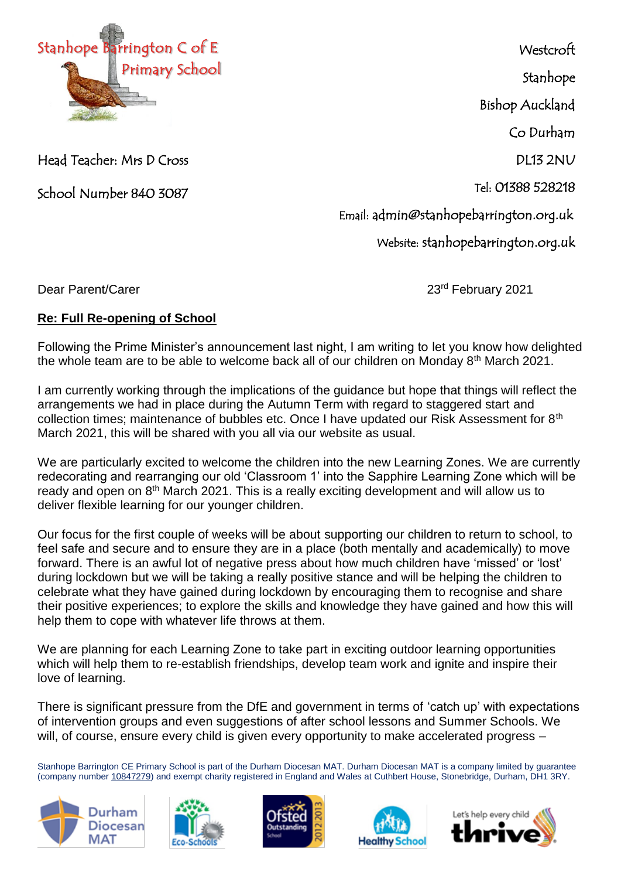

Head Teacher: Mrs D Cross

School Number 840 3087

**Westcroft** Stanhope Bishop Auckland Co Durham DL13 2NU Tel: 01388 528218

Email: admin@stanhopebarrington.org.uk

Website: stanhopebarrington.org.uk

Dear Parent/Carer 2021 **Dear Parent/Carer** 

## **Re: Full Re-opening of School**

Following the Prime Minister's announcement last night, I am writing to let you know how delighted<br>the whole team are to be able to welcome hock all of surebildren an Manday 9th March 2004. the whole team are to be able to welcome back all of our children on Monday 8<sup>th</sup> March 2021.

I am currently working through the implications of the guidance but hope that things will reflect the arrangements we had in place during the Autumn Term with regard to staggered start and collection times; maintenance of bubbles etc. Once I have updated our Risk Assessment for 8<sup>th</sup> March 2021, this will be shared with you all via our website as usual.

We are particularly excited to welcome the children into the new Learning Zones. We are currently redecorating and rearranging our old 'Classroom 1' into the Sapphire Learning Zone which will be ready and open on 8<sup>th</sup> March 2021. This is a really exciting development and will allow us to deliver flexible learning for our younger children.

Our focus for the first couple of weeks will be about supporting our children to return to school, to feel safe and secure and to ensure they are in a place (both mentally and academically) to move forward. There is an awful lot of negative press about how much children have 'missed' or 'lost' during lockdown but we will be taking a really positive stance and will be helping the children to celebrate what they have gained during lockdown by encouraging them to recognise and share their positive experiences; to explore the skills and knowledge they have gained and how this will help them to cope with whatever life throws at them.

We are planning for each Learning Zone to take part in exciting outdoor learning opportunities which will help them to re-establish friendships, develop team work and ignite and inspire their love of learning.

There is significant pressure from the DfE and government in terms of 'catch up' with expectations of intervention groups and even suggestions of after school lessons and Summer Schools. We will, of course, ensure every child is given every opportunity to make accelerated progress –

Stanhope Barrington CE Primary School is part of the Durham Diocesan MAT. Durham Diocesan MAT is a company limited by guarantee (company number [10847279\)](tel:10847279) and exempt charity registered in England and Wales at Cuthbert House, Stonebridge, Durham, DH1 3RY.